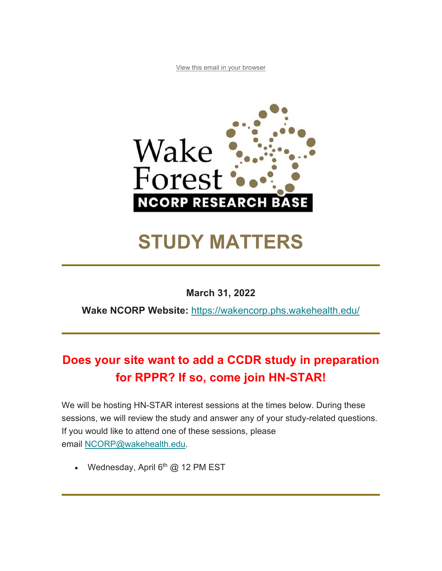View this email in your browser



# **STUDY MATTERS**

#### **March 31, 2022**

**Wake NCORP Website:** https://wakencorp.phs.wakehealth.edu/

# **Does your site want to add a CCDR study in preparation for RPPR? If so, come join HN-STAR!**

We will be hosting HN-STAR interest sessions at the times below. During these sessions, we will review the study and answer any of your study-related questions. If you would like to attend one of these sessions, please email NCORP@wakehealth.edu.

• Wednesday, April  $6<sup>th</sup>$  @ 12 PM EST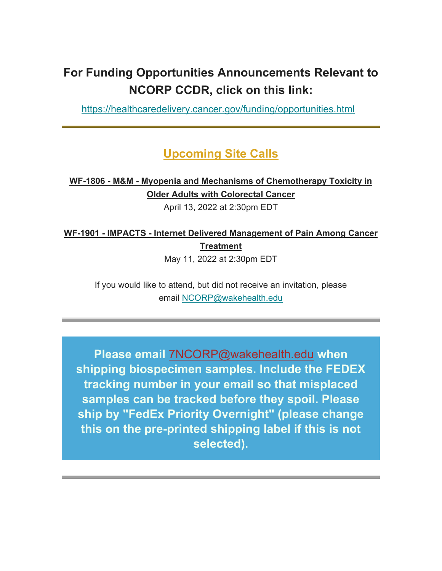# **For Funding Opportunities Announcements Relevant to NCORP CCDR, click on this link:**

https://healthcaredelivery.cancer.gov/funding/opportunities.html

### **Upcoming Site Calls**

#### **WF-1806 - M&M - Myopenia and Mechanisms of Chemotherapy Toxicity in Older Adults with Colorectal Cancer**

April 13, 2022 at 2:30pm EDT

# **WF-1901 - IMPACTS - Internet Delivered Management of Pain Among Cancer Treatment**

May 11, 2022 at 2:30pm EDT

If you would like to attend, but did not receive an invitation, please email NCORP@wakehealth.edu

**Please email** 7NCORP@wakehealth.edu **when shipping biospecimen samples. Include the FEDEX tracking number in your email so that misplaced samples can be tracked before they spoil. Please ship by "FedEx Priority Overnight" (please change this on the pre-printed shipping label if this is not selected).**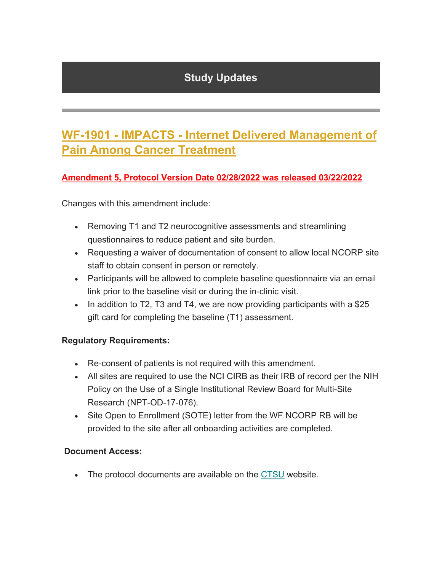### **Study Updates**

# **WF-1901 - IMPACTS - Internet Delivered Management of Pain Among Cancer Treatment**

#### **Amendment 5, Protocol Version Date 02/28/2022 was released 03/22/2022**

Changes with this amendment include:

- Removing T1 and T2 neurocognitive assessments and streamlining questionnaires to reduce patient and site burden.
- Requesting a waiver of documentation of consent to allow local NCORP site staff to obtain consent in person or remotely.
- Participants will be allowed to complete baseline questionnaire via an email link prior to the baseline visit or during the in-clinic visit.
- In addition to T2, T3 and T4, we are now providing participants with a  $$25$ gift card for completing the baseline (T1) assessment.

#### **Regulatory Requirements:**

- Re-consent of patients is not required with this amendment.
- All sites are required to use the NCI CIRB as their IRB of record per the NIH Policy on the Use of a Single Institutional Review Board for Multi-Site Research (NPT-OD-17-076).
- Site Open to Enrollment (SOTE) letter from the WF NCORP RB will be provided to the site after all onboarding activities are completed.

#### **Document Access:**

The protocol documents are available on the CTSU website.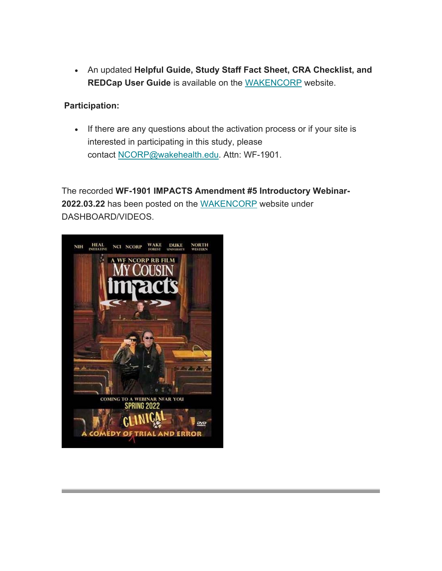An updated **Helpful Guide, Study Staff Fact Sheet, CRA Checklist, and REDCap User Guide** is available on the WAKENCORP website.

#### **Participation:**

• If there are any questions about the activation process or if your site is interested in participating in this study, please contact NCORP@wakehealth.edu. Attn: WF-1901.

The recorded **WF-1901 IMPACTS Amendment #5 Introductory Webinar-2022.03.22** has been posted on the WAKENCORP website under DASHBOARD/VIDEOS.

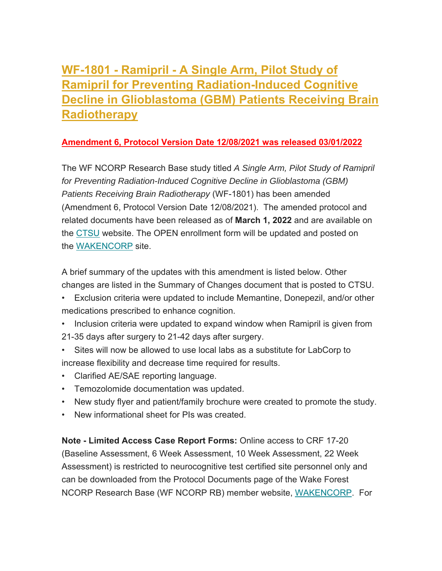# **WF-1801 - Ramipril - A Single Arm, Pilot Study of Ramipril for Preventing Radiation-Induced Cognitive Decline in Glioblastoma (GBM) Patients Receiving Brain Radiotherapy**

#### **Amendment 6, Protocol Version Date 12/08/2021 was released 03/01/2022**

The WF NCORP Research Base study titled *A Single Arm, Pilot Study of Ramipril for Preventing Radiation-Induced Cognitive Decline in Glioblastoma (GBM) Patients Receiving Brain Radiotherapy* (WF-1801) has been amended (Amendment 6, Protocol Version Date 12/08/2021). The amended protocol and related documents have been released as of **March 1, 2022** and are available on the CTSU website. The OPEN enrollment form will be updated and posted on the WAKENCORP site.

A brief summary of the updates with this amendment is listed below. Other changes are listed in the Summary of Changes document that is posted to CTSU.

- Exclusion criteria were updated to include Memantine, Donepezil, and/or other medications prescribed to enhance cognition.
- Inclusion criteria were updated to expand window when Ramipril is given from 21-35 days after surgery to 21-42 days after surgery.
- Sites will now be allowed to use local labs as a substitute for LabCorp to increase flexibility and decrease time required for results.
- Clarified AE/SAE reporting language.
- Temozolomide documentation was updated.
- New study flyer and patient/family brochure were created to promote the study.
- New informational sheet for PIs was created.

**Note - Limited Access Case Report Forms:** Online access to CRF 17-20 (Baseline Assessment, 6 Week Assessment, 10 Week Assessment, 22 Week Assessment) is restricted to neurocognitive test certified site personnel only and can be downloaded from the Protocol Documents page of the Wake Forest NCORP Research Base (WF NCORP RB) member website, WAKENCORP. For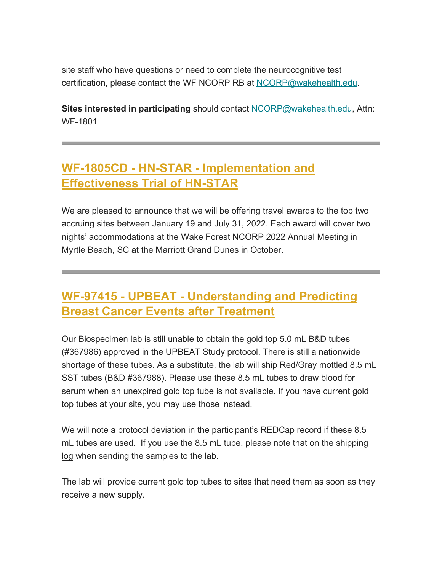site staff who have questions or need to complete the neurocognitive test certification, please contact the WF NCORP RB at NCORP@wakehealth.edu.

**Sites interested in participating** should contact NCORP@wakehealth.edu, Attn: WF-1801

# **WF-1805CD - HN-STAR - Implementation and Effectiveness Trial of HN-STAR**

We are pleased to announce that we will be offering travel awards to the top two accruing sites between January 19 and July 31, 2022. Each award will cover two nights' accommodations at the Wake Forest NCORP 2022 Annual Meeting in Myrtle Beach, SC at the Marriott Grand Dunes in October.

# **WF-97415 - UPBEAT - Understanding and Predicting Breast Cancer Events after Treatment**

Our Biospecimen lab is still unable to obtain the gold top 5.0 mL B&D tubes (#367986) approved in the UPBEAT Study protocol. There is still a nationwide shortage of these tubes. As a substitute, the lab will ship Red/Gray mottled 8.5 mL SST tubes (B&D #367988). Please use these 8.5 mL tubes to draw blood for serum when an unexpired gold top tube is not available. If you have current gold top tubes at your site, you may use those instead.

We will note a protocol deviation in the participant's REDCap record if these 8.5 mL tubes are used. If you use the 8.5 mL tube, please note that on the shipping log when sending the samples to the lab.

The lab will provide current gold top tubes to sites that need them as soon as they receive a new supply.